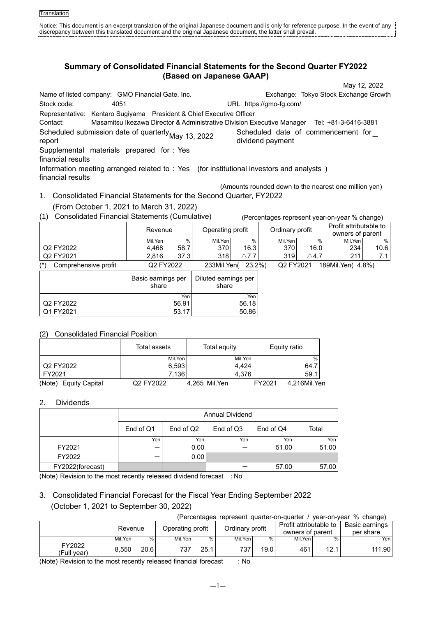# **Summary of Consolidated Financial Statements for the Second Quarter FY2022 (Based on Japanese GAAP)**

May 12, 2022 Name of listed company: GMO Financial Gate, Inc. Exchange: Tokyo Stock Exchange Growth Stock code: 4051 URL https://gmo-fg.com/ Representative: Kentaro Sugiyama President & Chief Executive Officer Contact: Masamitsu Ikezawa Director & Administrative Division Executive Manager Tel: +81-3-6416-3881 Scheduled submission date of quarterly May 13, 2022 Scheduled date of commencement for Scheduled date of commencement for Scheduled date of commencement for  $\frac{1}{2}$ Scheduled date of commencement for \_\_<br>dividend payment Supplemental materials prepared for : Yes financial results Information meeting arranged related to : Yes (for institutional investors and analysts ) financial results

- 1. Consolidated Financial Statements for the Second Quarter, FY2022 (From October 1, 2021 to March 31, 2022)
- (1) Consolidated Financial Statements (Cumulative) (Percentages represent year-on-year % change)

|                                   | Revenue |           | Operating profit        |              | Ordinary profit |              | Profit attributable to<br>owners of parent |       |
|-----------------------------------|---------|-----------|-------------------------|--------------|-----------------|--------------|--------------------------------------------|-------|
|                                   | Mil.Yen | %         | Mil.Yen                 | %            | Mil.Yen         | %            | Mil.Yen                                    | %     |
| Q2 FY2022                         | 4.468   | 58.7      | 370                     | 16.3         | 370             | 16.0         | 234                                        | 10.6  |
| Q2 FY2021                         | 2.816   | 37.3      | 318                     | $\wedge$ 7.7 | 319             | $\wedge$ 4.7 | 211                                        | 7.1 I |
| $(\star)$<br>Comprehensive profit |         | Q2 FY2022 | $23.2\%)$<br>233Mil.Yen |              | Q2 FY2021       |              | 189Mil.Yen( 4.8%)                          |       |
|                                   |         |           |                         |              |                 |              |                                            |       |

|           | Basic earnings per<br>share | Diluted earnings per<br>share |
|-----------|-----------------------------|-------------------------------|
|           | Yen                         | Yen                           |
| Q2 FY2022 | 56.91                       | 56.18                         |
| Q1 FY2021 | 53.17                       | 50.86                         |

## (2) Consolidated Financial Position

|                                 | Total assets | Total equity  | Equity ratio           |
|---------------------------------|--------------|---------------|------------------------|
|                                 | Mil.Yen      | Mil.Yen       | $\frac{0}{0}$          |
| Q2 FY2022                       | 6,593        | 4.424         | 64.7                   |
| FY2021                          | 7.136        | 4.376         | 59.1                   |
| (Note)<br><b>Equity Capital</b> | Q2 FY2022    | 4,265 Mil.Yen | FY2021<br>4.216Mil.Yen |

## 2. Dividends

|                  | Annual Dividend |           |           |           |       |  |  |
|------------------|-----------------|-----------|-----------|-----------|-------|--|--|
|                  | End of Q1       | End of Q2 | End of Q3 | End of Q4 | Total |  |  |
|                  | Yen             | Yen       | Yen       | Yen       | Yen   |  |  |
| FY2021           | –               | 0.00      |           | 51.00     | 51.00 |  |  |
| FY2022           |                 | 0.00      |           |           |       |  |  |
| FY2022(forecast) |                 |           |           | 57.00     | 57.00 |  |  |

(Note) Revision to the most recently released dividend forecast : No

# 3. Consolidated Financial Forecast for the Fiscal Year Ending September 2022 (October 1, 2021 to September 30, 2022)

(Percentages represent quarter-on-quarter / year-on-year % change)

(Amounts rounded down to the nearest one million yen)

|                       | Revenue |      | Operating profit |      | Ordinary profit |      | Profit attributable to<br>owners of parent |      | Basic earnings<br>per share |
|-----------------------|---------|------|------------------|------|-----------------|------|--------------------------------------------|------|-----------------------------|
|                       | Mil.Yen | %    | Mil.Yen          | %    | Mil.Yen         | %    | Mil.Yen                                    | %.   | Yen <sub>1</sub>            |
| FY2022<br>(Full vear) | 8.550   | 20.6 | 737              | 25.1 | 7371            | 19.0 | 461                                        | 12.1 | 111.90                      |

(Note) Revision to the most recently released financial forecast : No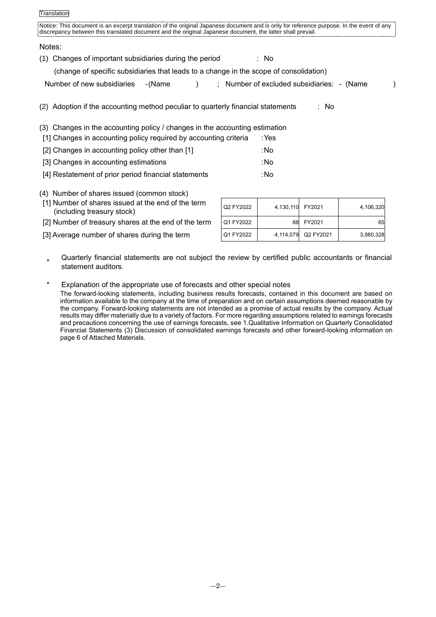| Translation |  |
|-------------|--|
|             |  |

| Notice: This document is an excerpt translation of the original Japanese document and is only for reference purpose. In the event of any<br>discrepancy between this translated document and the original Japanese document, the latter shall prevail. |                                            |
|--------------------------------------------------------------------------------------------------------------------------------------------------------------------------------------------------------------------------------------------------------|--------------------------------------------|
| Notes:                                                                                                                                                                                                                                                 |                                            |
| Changes of important subsidiaries during the period<br>(1)                                                                                                                                                                                             | : No                                       |
| (change of specific subsidiaries that leads to a change in the scope of consolidation)                                                                                                                                                                 |                                            |
| Number of new subsidiaries<br>- (Name<br>$\lambda$                                                                                                                                                                                                     | ; Number of excluded subsidiaries: - (Name |
| (2) Adoption if the accounting method peculiar to quarterly financial statements                                                                                                                                                                       | : No                                       |
| Changes in the accounting policy / changes in the accounting estimation<br>(3)                                                                                                                                                                         |                                            |
| [1] Changes in accounting policy required by accounting criteria                                                                                                                                                                                       | :Yes                                       |
| [2] Changes in accounting policy other than [1]                                                                                                                                                                                                        | :No                                        |
| [3] Changes in accounting estimations                                                                                                                                                                                                                  | :No                                        |
| [4] Restatement of prior period financial statements                                                                                                                                                                                                   | :No                                        |

## (4) Number of shares issued (common stock)

- [1] Number of shares issued at the end of the term (including treasury stock)
- [2] Number of treasury shares at the end of the term

[3] Average number of shares during the term

| Q2 FY2022 | 4,130,110 FY2021 |           | 4,106,320 |
|-----------|------------------|-----------|-----------|
| Q1 FY2022 | 88               | FY2021    | 65        |
| Q1 FY2022 | 4,114,079        | Q2 FY2021 | 3,980,328 |

\* Quarterly financial statements are not subject the review by certified public accountants or financial statement auditors.

\* Explanation of the appropriate use of forecasts and other special notes The forward-looking statements, including business results forecasts, contained in this document are based on information available to the company at the time of preparation and on certain assumptions deemed reasonable by the company. Forward-looking statements are not intended as a promise of actual results by the company. Actual results may differ materially due to a variety of factors. For more regarding assumptions related to earnings forecasts and precautions concerning the use of earnings forecasts, see 1.Qualitative Information on Quarterly Consolidated Financial Statements (3) Discussion of consolidated earnings forecasts and other forward-looking information on page 6 of Attached Materials.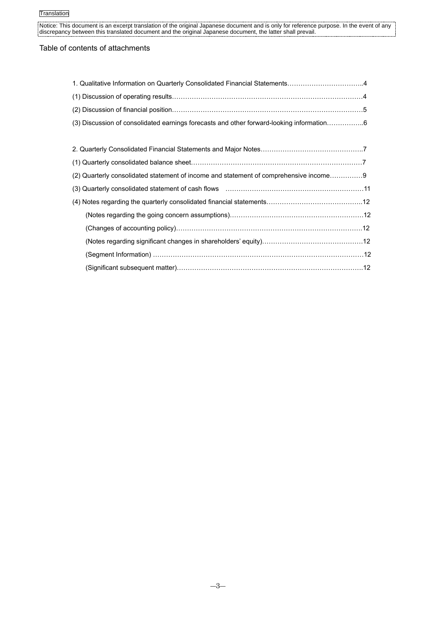## Table of contents of attachments

| 1. Qualitative Information on Quarterly Consolidated Financial Statements4                     |  |
|------------------------------------------------------------------------------------------------|--|
|                                                                                                |  |
|                                                                                                |  |
| (3) Discussion of consolidated earnings forecasts and other forward-looking information6       |  |
|                                                                                                |  |
|                                                                                                |  |
|                                                                                                |  |
| (2) Quarterly consolidated statement of income and statement of comprehensive income9          |  |
| (3) Quarterly consolidated statement of cash flows (and contain and contain an annuminative 11 |  |
|                                                                                                |  |
|                                                                                                |  |
|                                                                                                |  |
|                                                                                                |  |
| (Segment Information) ………………………………………………………………………………………12                                      |  |
| (Significant subsequent matter)……………………………………………………………………………12                                 |  |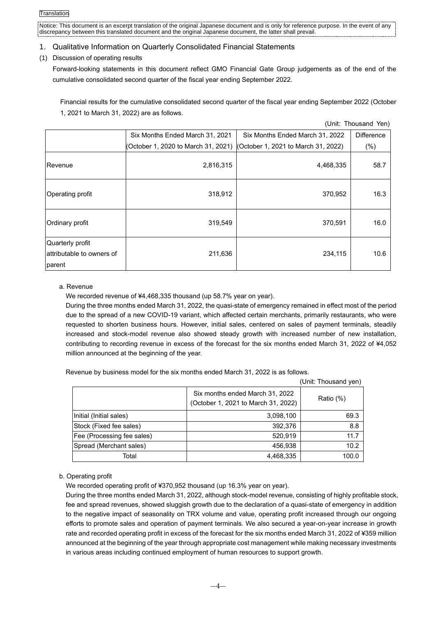## 1. Qualitative Information on Quarterly Consolidated Financial Statements

## (1) Discussion of operating results

Forward-looking statements in this document reflect GMO Financial Gate Group judgements as of the end of the cumulative consolidated second quarter of the fiscal year ending September 2022.

Financial results for the cumulative consolidated second quarter of the fiscal year ending September 2022 (October 1, 2021 to March 31, 2022) are as follows.

|                                                         |                                                                         |                                 | (Unit: Thousand Yen) |
|---------------------------------------------------------|-------------------------------------------------------------------------|---------------------------------|----------------------|
|                                                         | Six Months Ended March 31, 2021                                         | Six Months Ended March 31, 2022 | <b>Difference</b>    |
|                                                         | (October 1, 2020 to March 31, 2021) (October 1, 2021 to March 31, 2022) |                                 | (% )                 |
| Revenue                                                 | 2,816,315                                                               | 4,468,335                       | 58.7                 |
| Operating profit                                        | 318,912                                                                 | 370,952                         | 16.3                 |
| Ordinary profit                                         | 319,549                                                                 | 370,591                         | 16.0                 |
| Quarterly profit<br>attributable to owners of<br>parent | 211,636                                                                 | 234,115                         | 10.6                 |

## a. Revenue

We recorded revenue of ¥4,468,335 thousand (up 58.7% year on year).

During the three months ended March 31, 2022, the quasi-state of emergency remained in effect most of the period due to the spread of a new COVID-19 variant, which affected certain merchants, primarily restaurants, who were requested to shorten business hours. However, initial sales, centered on sales of payment terminals, steadily increased and stock-model revenue also showed steady growth with increased number of new installation, contributing to recording revenue in excess of the forecast for the six months ended March 31, 2022 of ¥4,052 million announced at the beginning of the year.

Revenue by business model for the six months ended March 31, 2022 is as follows.

|                            |                                                                        | (Unit: Thousand yen) |
|----------------------------|------------------------------------------------------------------------|----------------------|
|                            | Six months ended March 31, 2022<br>(October 1, 2021 to March 31, 2022) | Ratio (%)            |
| Initial (Initial sales)    | 3,098,100                                                              | 69.3                 |
| Stock (Fixed fee sales)    | 392,376                                                                | 8.8                  |
| Fee (Processing fee sales) | 520,919                                                                | 11.7                 |
| Spread (Merchant sales)    | 456,938                                                                | 10.2                 |
| Total                      | 4,468,335                                                              | 100.0                |

## b. Operating profit

We recorded operating profit of ¥370,952 thousand (up 16.3% year on year).

During the three months ended March 31, 2022, although stock-model revenue, consisting of highly profitable stock, fee and spread revenues, showed sluggish growth due to the declaration of a quasi-state of emergency in addition to the negative impact of seasonality on TRX volume and value, operating profit increased through our ongoing efforts to promote sales and operation of payment terminals. We also secured a year-on-year increase in growth rate and recorded operating profit in excess of the forecast for the six months ended March 31, 2022 of ¥359 million announced at the beginning of the year through appropriate cost management while making necessary investments in various areas including continued employment of human resources to support growth.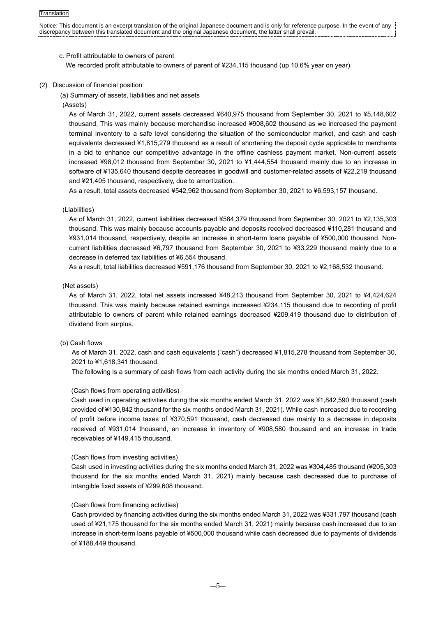### c. Profit attributable to owners of parent

We recorded profit attributable to owners of parent of ¥234,115 thousand (up 10.6% year on year).

#### (2) Discussion of financial position

(a) Summary of assets, liabilities and net assets

(Assets)

As of March 31, 2022, current assets decreased ¥640,975 thousand from September 30, 2021 to ¥5,148,602 thousand. This was mainly because merchandise increased ¥908,602 thousand as we increased the payment terminal inventory to a safe level considering the situation of the semiconductor market, and cash and cash equivalents decreased ¥1,815,279 thousand as a result of shortening the deposit cycle applicable to merchants in a bid to enhance our competitive advantage in the offline cashless payment market. Non-current assets increased ¥98,012 thousand from September 30, 2021 to ¥1,444,554 thousand mainly due to an increase in software of ¥135,640 thousand despite decreases in goodwill and customer-related assets of ¥22,219 thousand and ¥21,405 thousand, respectively, due to amortization.

As a result, total assets decreased ¥542,962 thousand from September 30, 2021 to ¥6,593,157 thousand.

#### (Liabilities)

As of March 31, 2022, current liabilities decreased ¥584,379 thousand from September 30, 2021 to ¥2,135,303 thousand. This was mainly because accounts payable and deposits received decreased ¥110,281 thousand and ¥931,014 thousand, respectively, despite an increase in short-term loans payable of ¥500,000 thousand. Noncurrent liabilities decreased ¥6,797 thousand from September 30, 2021 to ¥33,229 thousand mainly due to a decrease in deferred tax liabilities of ¥6,554 thousand.

As a result, total liabilities decreased ¥591,176 thousand from September 30, 2021 to ¥2,168,532 thousand.

#### (Net assets)

As of March 31, 2022, total net assets increased ¥48,213 thousand from September 30, 2021 to ¥4,424,624 thousand. This was mainly because retained earnings increased ¥234,115 thousand due to recording of profit attributable to owners of parent while retained earnings decreased ¥209,419 thousand due to distribution of dividend from surplus.

#### (b) Cash flows

As of March 31, 2022, cash and cash equivalents ("cash") decreased ¥1,815,278 thousand from September 30, 2021 to ¥1,618,341 thousand.

The following is a summary of cash flows from each activity during the six months ended March 31, 2022.

### (Cash flows from operating activities)

Cash used in operating activities during the six months ended March 31, 2022 was ¥1,842,590 thousand (cash provided of ¥130,842 thousand for the six months ended March 31, 2021). While cash increased due to recording of profit before income taxes of ¥370,591 thousand, cash decreased due mainly to a decrease in deposits received of ¥931,014 thousand, an increase in inventory of ¥908,580 thousand and an increase in trade receivables of ¥149,415 thousand.

#### (Cash flows from investing activities)

Cash used in investing activities during the six months ended March 31, 2022 was ¥304,485 thousand (¥205,303 thousand for the six months ended March 31, 2021) mainly because cash decreased due to purchase of intangible fixed assets of ¥299,608 thousand.

#### (Cash flows from financing activities)

Cash provided by financing activities during the six months ended March 31, 2022 was ¥331,797 thousand (cash used of ¥21,175 thousand for the six months ended March 31, 2021) mainly because cash increased due to an increase in short-term loans payable of ¥500,000 thousand while cash decreased due to payments of dividends of ¥188,449 thousand.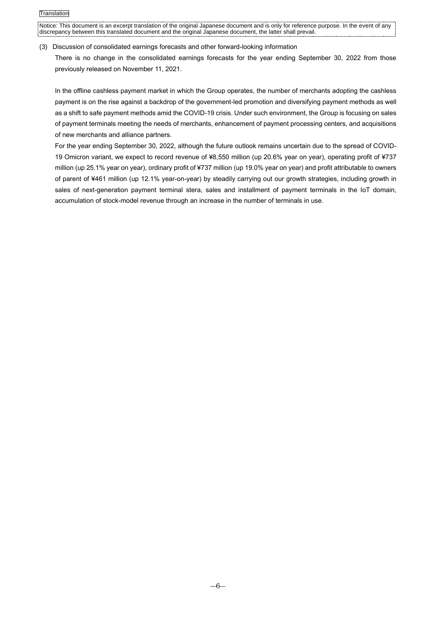#### (3) Discussion of consolidated earnings forecasts and other forward-looking information

There is no change in the consolidated earnings forecasts for the year ending September 30, 2022 from those previously released on November 11, 2021.

In the offline cashless payment market in which the Group operates, the number of merchants adopting the cashless payment is on the rise against a backdrop of the government-led promotion and diversifying payment methods as well as a shift to safe payment methods amid the COVID-19 crisis. Under such environment, the Group is focusing on sales of payment terminals meeting the needs of merchants, enhancement of payment processing centers, and acquisitions of new merchants and alliance partners.

For the year ending September 30, 2022, although the future outlook remains uncertain due to the spread of COVID-19 Omicron variant, we expect to record revenue of ¥8,550 million (up 20.6% year on year), operating profit of ¥737 million (up 25.1% year on year), ordinary profit of ¥737 million (up 19.0% year on year) and profit attributable to owners of parent of ¥461 million (up 12.1% year-on-year) by steadily carrying out our growth strategies, including growth in sales of next-generation payment terminal stera, sales and installment of payment terminals in the IoT domain, accumulation of stock-model revenue through an increase in the number of terminals in use.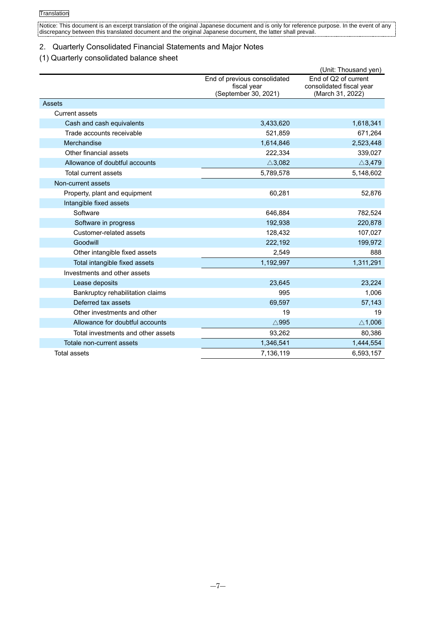# 2. Quarterly Consolidated Financial Statements and Major Notes

## (1) Quarterly consolidated balance sheet

|                                    |                                                                     | (Unit: Thousand yen)                                                 |
|------------------------------------|---------------------------------------------------------------------|----------------------------------------------------------------------|
|                                    | End of previous consolidated<br>fiscal year<br>(September 30, 2021) | End of Q2 of current<br>consolidated fiscal year<br>(March 31, 2022) |
| Assets                             |                                                                     |                                                                      |
| <b>Current assets</b>              |                                                                     |                                                                      |
| Cash and cash equivalents          | 3,433,620                                                           | 1,618,341                                                            |
| Trade accounts receivable          | 521,859                                                             | 671,264                                                              |
| Merchandise                        | 1,614,846                                                           | 2,523,448                                                            |
| Other financial assets             | 222,334                                                             | 339,027                                                              |
| Allowance of doubtful accounts     | $\triangle$ 3,082                                                   | $\triangle$ 3,479                                                    |
| Total current assets               | 5,789,578                                                           | 5,148,602                                                            |
| Non-current assets                 |                                                                     |                                                                      |
| Property, plant and equipment      | 60,281                                                              | 52,876                                                               |
| Intangible fixed assets            |                                                                     |                                                                      |
| Software                           | 646,884                                                             | 782,524                                                              |
| Software in progress               | 192,938                                                             | 220,878                                                              |
| Customer-related assets            | 128,432                                                             | 107,027                                                              |
| Goodwill                           | 222,192                                                             | 199,972                                                              |
| Other intangible fixed assets      | 2,549                                                               | 888                                                                  |
| Total intangible fixed assets      | 1,192,997                                                           | 1,311,291                                                            |
| Investments and other assets       |                                                                     |                                                                      |
| Lease deposits                     | 23,645                                                              | 23,224                                                               |
| Bankruptcy rehabilitation claims   | 995                                                                 | 1,006                                                                |
| Deferred tax assets                | 69,597                                                              | 57,143                                                               |
| Other investments and other        | 19                                                                  | 19                                                                   |
| Allowance for doubtful accounts    | $\triangle$ 995                                                     | $\triangle$ 1,006                                                    |
| Total investments and other assets | 93,262                                                              | 80,386                                                               |
| Totale non-current assets          | 1,346,541                                                           | 1,444,554                                                            |
| Total assets                       | 7,136,119                                                           | 6,593,157                                                            |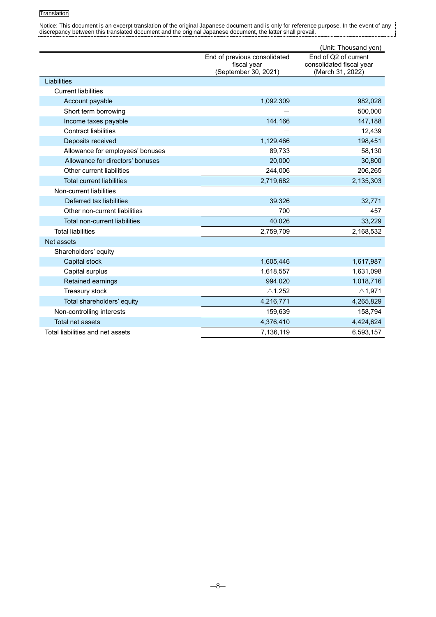|                                      |                                     | (Unit: Thousand yen)                         |
|--------------------------------------|-------------------------------------|----------------------------------------------|
|                                      | End of previous consolidated        | End of Q2 of current                         |
|                                      | fiscal year<br>(September 30, 2021) | consolidated fiscal year<br>(March 31, 2022) |
| Liabilities                          |                                     |                                              |
| <b>Current liabilities</b>           |                                     |                                              |
| Account payable                      | 1,092,309                           | 982,028                                      |
| Short term borrowing                 |                                     | 500,000                                      |
| Income taxes payable                 | 144,166                             | 147,188                                      |
| <b>Contract liabilities</b>          |                                     | 12,439                                       |
| Deposits received                    | 1,129,466                           | 198,451                                      |
| Allowance for employees' bonuses     | 89,733                              | 58,130                                       |
| Allowance for directors' bonuses     | 20,000                              | 30,800                                       |
| Other current liabilities            | 244,006                             | 206,265                                      |
| <b>Total current liabilities</b>     | 2,719,682                           | 2,135,303                                    |
| Non-current liabilities              |                                     |                                              |
| Deferred tax liabilities             | 39,326                              | 32,771                                       |
| Other non-current liabilities        | 700                                 | 457                                          |
| <b>Total non-current liabilities</b> | 40,026                              | 33,229                                       |
| <b>Total liabilities</b>             | 2,759,709                           | 2,168,532                                    |
| Net assets                           |                                     |                                              |
| Shareholders' equity                 |                                     |                                              |
| Capital stock                        | 1,605,446                           | 1,617,987                                    |
| Capital surplus                      | 1,618,557                           | 1,631,098                                    |
| Retained earnings                    | 994,020                             | 1,018,716                                    |
| Treasury stock                       | $\triangle$ 1,252                   | $\triangle$ 1,971                            |
| Total shareholders' equity           | 4,216,771                           | 4,265,829                                    |
| Non-controlling interests            | 159,639                             | 158,794                                      |
| Total net assets                     | 4,376,410                           | 4,424,624                                    |
| Total liabilities and net assets     | 7,136,119                           | 6,593,157                                    |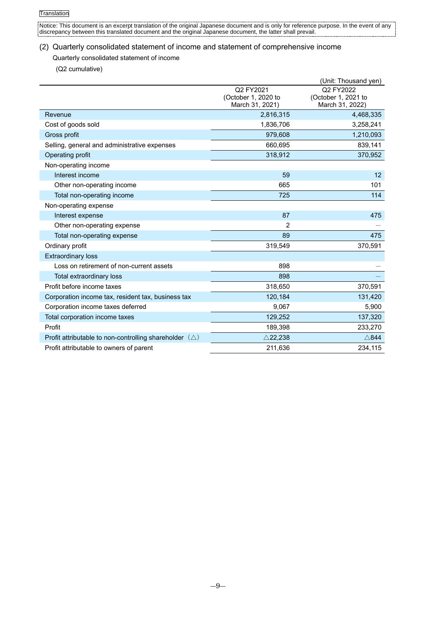í.

Notice: This document is an excerpt translation of the original Japanese document and is only for reference purpose. In the event of any discrepancy between this translated document and the original Japanese document, the latter shall prevail.

## (2) Quarterly consolidated statement of income and statement of comprehensive income

### Quarterly consolidated statement of income

(Q2 cumulative)

|                                                                  |                                                     | (Unit: Thousand yen)                                |
|------------------------------------------------------------------|-----------------------------------------------------|-----------------------------------------------------|
|                                                                  | Q2 FY2021<br>(October 1, 2020 to<br>March 31, 2021) | Q2 FY2022<br>(October 1, 2021 to<br>March 31, 2022) |
| Revenue                                                          | 2,816,315                                           | 4,468,335                                           |
| Cost of goods sold                                               | 1,836,706                                           | 3,258,241                                           |
| Gross profit                                                     | 979,608                                             | 1,210,093                                           |
| Selling, general and administrative expenses                     | 660,695                                             | 839,141                                             |
| Operating profit                                                 | 318,912                                             | 370,952                                             |
| Non-operating income                                             |                                                     |                                                     |
| Interest income                                                  | 59                                                  | 12                                                  |
| Other non-operating income                                       | 665                                                 | 101                                                 |
| Total non-operating income                                       | 725                                                 | 114                                                 |
| Non-operating expense                                            |                                                     |                                                     |
| Interest expense                                                 | 87                                                  | 475                                                 |
| Other non-operating expense                                      | $\overline{2}$                                      |                                                     |
| Total non-operating expense                                      | 89                                                  | 475                                                 |
| Ordinary profit                                                  | 319,549                                             | 370,591                                             |
| <b>Extraordinary loss</b>                                        |                                                     |                                                     |
| Loss on retirement of non-current assets                         | 898                                                 |                                                     |
| <b>Total extraordinary loss</b>                                  | 898                                                 |                                                     |
| Profit before income taxes                                       | 318,650                                             | 370,591                                             |
| Corporation income tax, resident tax, business tax               | 120,184                                             | 131,420                                             |
| Corporation income taxes deferred                                | 9,067                                               | 5,900                                               |
| Total corporation income taxes                                   | 129,252                                             | 137,320                                             |
| Profit                                                           | 189,398                                             | 233,270                                             |
| Profit attributable to non-controlling shareholder $(\triangle)$ | $\triangle$ 22,238                                  | $\triangle$ 844                                     |
| Profit attributable to owners of parent                          | 211.636                                             | 234.115                                             |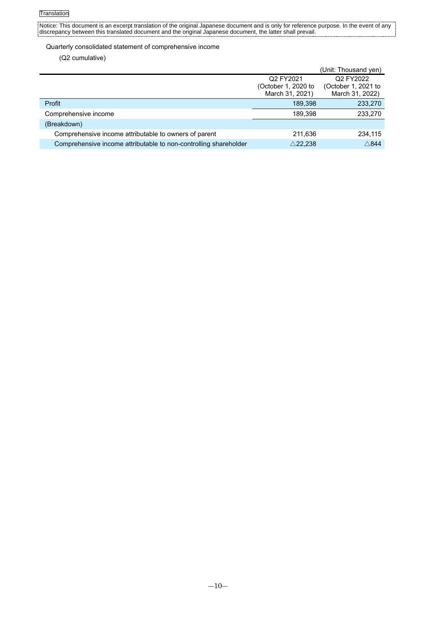### Quarterly consolidated statement of comprehensive income

(Q2 cumulative)

|                                                                  |                     | (Unit: Thousand yen) |
|------------------------------------------------------------------|---------------------|----------------------|
|                                                                  | Q2 FY2021           | Q2 FY2022            |
|                                                                  | (October 1, 2020 to | (October 1, 2021 to  |
|                                                                  | March 31, 2021)     | March 31, 2022)      |
| Profit                                                           | 189.398             | 233,270              |
| Comprehensive income                                             | 189,398             | 233,270              |
| (Breakdown)                                                      |                     |                      |
| Comprehensive income attributable to owners of parent            | 211,636             | 234,115              |
| Comprehensive income attributable to non-controlling shareholder | $\triangle$ 22,238  | $\wedge$ 844         |
|                                                                  |                     |                      |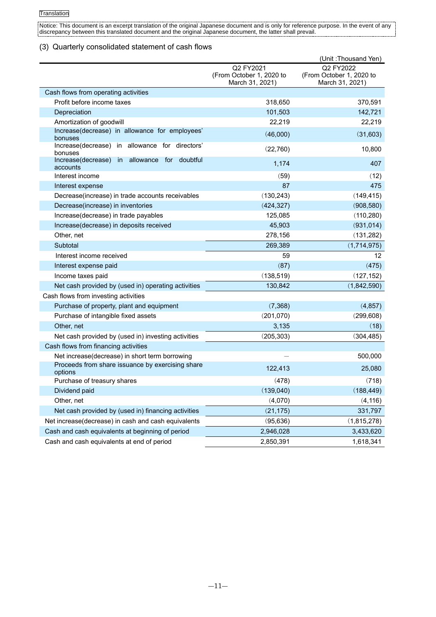## (3) Quarterly consolidated statement of cash flows

|                                                                |                                                          | (Unit: Thousand Yen)                                     |
|----------------------------------------------------------------|----------------------------------------------------------|----------------------------------------------------------|
|                                                                | Q2 FY2021<br>(From October 1, 2020 to<br>March 31, 2021) | Q2 FY2022<br>(From October 1, 2020 to<br>March 31, 2021) |
| Cash flows from operating activities                           |                                                          |                                                          |
| Profit before income taxes                                     | 318,650                                                  | 370,591                                                  |
| Depreciation                                                   | 101,503                                                  | 142,721                                                  |
| Amortization of goodwill                                       | 22,219                                                   | 22,219                                                   |
| Increase(decrease) in allowance for employees'<br>bonuses      | (46,000)                                                 | (31,603)                                                 |
| Increase(decrease) in allowance for directors'<br>bonuses      | (22,760)                                                 | 10,800                                                   |
| in allowance for<br>doubtful<br>Increase(decrease)<br>accounts | 1,174                                                    | 407                                                      |
| Interest income                                                | (59)                                                     | (12)                                                     |
| Interest expense                                               | 87                                                       | 475                                                      |
| Decrease(increase) in trade accounts receivables               | (130, 243)                                               | (149, 415)                                               |
| Decrease(increase) in inventories                              | (424, 327)                                               | (908, 580)                                               |
| Increase(decrease) in trade payables                           | 125,085                                                  | (110, 280)                                               |
| Increase(decrease) in deposits received                        | 45,903                                                   | (931, 014)                                               |
| Other, net                                                     | 278,156                                                  | (131, 282)                                               |
| Subtotal                                                       | 269,389                                                  | (1,714,975)                                              |
| Interest income received                                       | 59                                                       | 12                                                       |
| Interest expense paid                                          | (87)                                                     | (475)                                                    |
| Income taxes paid                                              | (138, 519)                                               | (127, 152)                                               |
| Net cash provided by (used in) operating activities            | 130,842                                                  | (1,842,590)                                              |
| Cash flows from investing activities                           |                                                          |                                                          |
| Purchase of property, plant and equipment                      | (7, 368)                                                 | (4, 857)                                                 |
| Purchase of intangible fixed assets                            | (201, 070)                                               | (299, 608)                                               |
| Other, net                                                     | 3,135                                                    | (18)                                                     |
| Net cash provided by (used in) investing activities            | (205, 303)                                               | (304, 485)                                               |
| Cash flows from financing activities                           |                                                          |                                                          |
| Net increase(decrease) in short term borrowing                 |                                                          | 500,000                                                  |
| Proceeds from share issuance by exercising share<br>options    | 122,413                                                  | 25,080                                                   |
| Purchase of treasury shares                                    | (478)                                                    | (718)                                                    |
| Dividend paid                                                  | (139,040)                                                | (188, 449)                                               |
| Other, net                                                     | (4,070)                                                  | (4, 116)                                                 |
| Net cash provided by (used in) financing activities            | (21, 175)                                                | 331,797                                                  |
| Net increase(decrease) in cash and cash equivalents            | (95, 636)                                                | (1,815,278)                                              |
| Cash and cash equivalents at beginning of period               | 2,946,028                                                | 3,433,620                                                |
| Cash and cash equivalents at end of period                     | 2,850,391                                                | 1,618,341                                                |